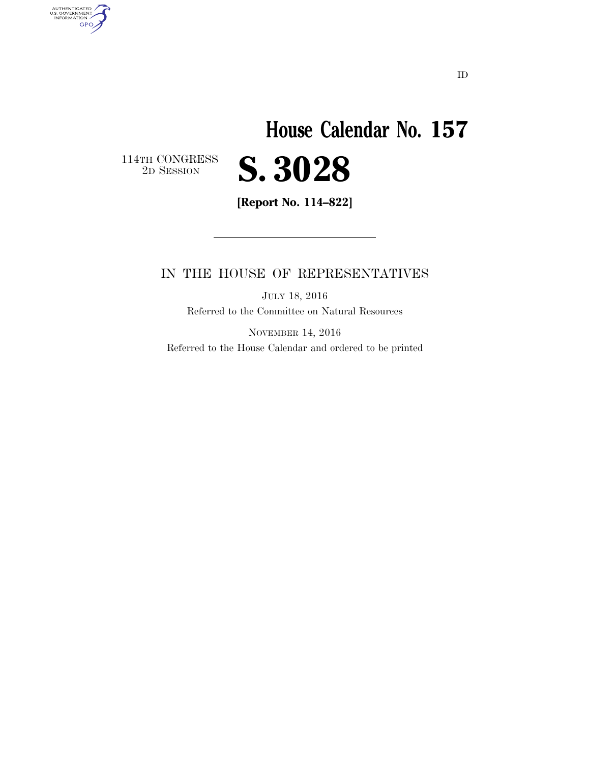# **House Calendar No. 157**  2D SESSION **S. 3028**

 $\begin{array}{c} \textbf{114TH CONGRESS} \\ \textbf{2D} \textbf{S} \textbf{ESSION} \end{array}$ 

AUTHENTICATED<br>U.S. GOVERNMENT<br>INFORMATION

**GPO** 

**[Report No. 114–822]** 

### IN THE HOUSE OF REPRESENTATIVES

JULY 18, 2016 Referred to the Committee on Natural Resources

NOVEMBER 14, 2016 Referred to the House Calendar and ordered to be printed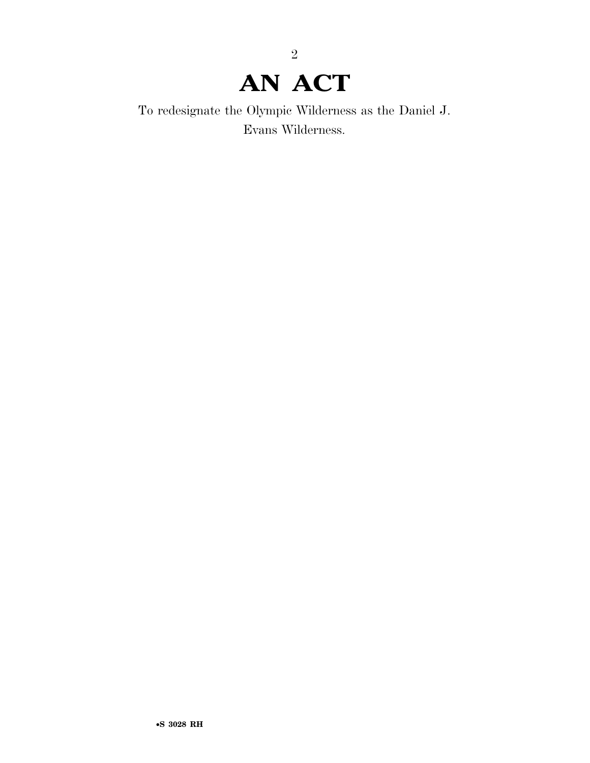## **AN ACT**

2

To redesignate the Olympic Wilderness as the Daniel J. Evans Wilderness.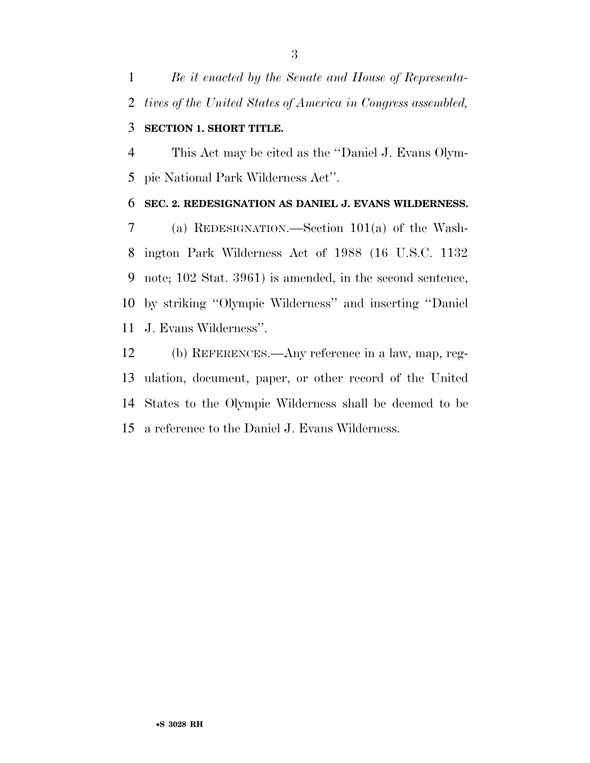*Be it enacted by the Senate and House of Representa-tives of the United States of America in Congress assembled,* 

## **SECTION 1. SHORT TITLE.**

 This Act may be cited as the ''Daniel J. Evans Olym-pic National Park Wilderness Act''.

#### **SEC. 2. REDESIGNATION AS DANIEL J. EVANS WILDERNESS.**

 (a) REDESIGNATION.—Section 101(a) of the Wash- ington Park Wilderness Act of 1988 (16 U.S.C. 1132 note; 102 Stat. 3961) is amended, in the second sentence, by striking ''Olympic Wilderness'' and inserting ''Daniel J. Evans Wilderness''.

 (b) REFERENCES.—Any reference in a law, map, reg- ulation, document, paper, or other record of the United States to the Olympic Wilderness shall be deemed to be a reference to the Daniel J. Evans Wilderness.